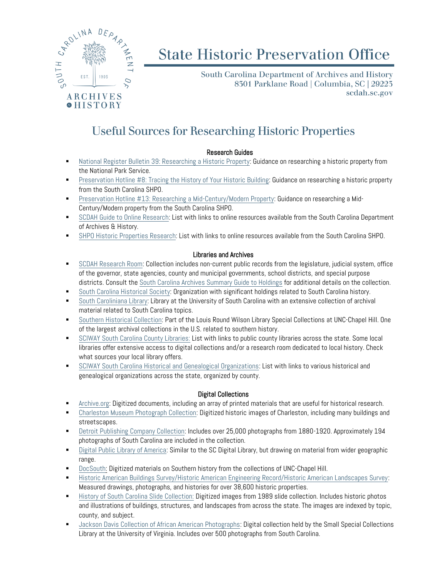

# **State Historic Preservation Office**

South Carolina Department of Archives and History 8301 Parklane Road | Columbia, SC | 29223 scdah.sc.gov

# Useful Sources for Researching Historic Properties

# Research Guides

- **[National Register Bulletin 39: Researching a Historic Property:](https://www.nps.gov/subjects/nationalregister/upload/NRB39-Complete.pdf) Guidance on researching a historic property from** the National Park Service.
- [Preservation Hotline #8: Tracing the History of Your Historic Building:](https://scdah.sc.gov/sites/default/files/Documents/Historic%20Preservation%20(SHPO)/Publications/SHPO%20Hotlines/Hotline8.pdf) Guidance on researching a historic property from the South Carolina SHPO.
- [Preservation Hotline #13: Researching a Mid-Century/Modern Property:](https://scdah.sc.gov/sites/default/files/Documents/Historic%20Preservation%20(SHPO)/Publications/SHPO%20Hotlines/Hotline13.pdf) Guidance on researching a Mid-Century/Modern property from the South Carolina SHPO.
- [SCDAH Guide to Online Research:](https://scdah.sc.gov/research-and-genealogy/online-research) List with links to online resources available from the South Carolina Department of Archives & History.
- [SHPO Historic Properties Research:](https://scdah.sc.gov/historic-preservation/historic-properties-research) List with links to online resources available from the South Carolina SHPO.

# Libraries and Archives

- [SCDAH Research Room:](https://scdah.sc.gov/research-and-genealogy) Collection includes non-current public records from the legislature, judicial system, office of the governor, state agencies, county and municipal governments, school districts, and special purpose districts. Consult the [South Carolina Archives Summary Guide to Holdings](http://www.archivesindex.sc.gov/guide/guide.htm) for additional details on the collection.
- [South Carolina Historical](http://schistory.org/research-our-collections/) Society: Organization with significant holdings related to South Carolina history.
- [South Caroliniana Library:](http://library.sc.edu/p/Collections/SCL) Library at the University of South Carolina with an extensive collection of archival material related to South Carolina topics.
- [Southern Historical Collection:](http://library.unc.edu/wilson/shc/) Part of the Louis Round Wilson Library Special Collections at UNC-Chapel Hill. One of the largest archival collections in the U.S. related to southern history.
- **[SCIWAY South Carolina County Libraries:](https://www.sciway.net/lib/counties.html) List with links to public county libraries across the state. Some local** libraries offer extensive access to digital collections and/or a research room dedicated to local history. Check what sources your local library offers.
- **[SCIWAY South Carolina Historical and Genealogical Organizations:](https://www.sciway.net/org/hist.html) List with links to various historical and** genealogical organizations across the state, organized by county.

# Digital Collections

- [Archive.org:](https://archive.org/) Digitized documents, including an array of printed materials that are useful for historical research.
- [Charleston Museum Photograph Collection:](http://www.charlestonmuseum.org/research/collection/?group_by=object_name&collection=Photograph+Collection&category=Communication+Artifact&sub_category=Photograph&redirected=1) Digitized historic images of Charleston, including many buildings and streetscapes.
- [Detroit Publishing Company Collection:](http://www.loc.gov/pictures/collection/det/) Includes over 25,000 photographs from 1880-1920. Approximately 194 photographs of South Carolina are included in the collection.
- **[Digital Public Library of America:](https://dp.la/) Similar to the SC Digital Library, but drawing on material from wider geographic** range.
- **[DocSouth:](http://docsouth.unc.edu/support/about/) Digitized materials on Southern history from the collections of UNC-Chapel Hill.**
- [Historic American Buildings Survey/Historic American Engineering Record/Historic American Landscapes Survey:](http://www.loc.gov/pictures/collection/hh/) Measured drawings, photographs, and histories for over 38,600 historic properties.
- **[History of South Carolina Slide Collection:](https://www.knowitall.org/series/history-south-carolina-slide-collection/) Digitized images from 1989 slide collection. Includes historic photos** and illustrations of buildings, structures, and landscapes from across the state. The images are indexed by topic, county, and subject.
- [Jackson Davis Collection of African American Photographs:](https://search.lib.virginia.edu/catalog?f%5Bdigital_collection_facet%5D%5B%5D=Jackson+Davis+Collection+of+African+American+Photographs&search_field=subject&sort_key=relevancy) Digital collection held by the Small Special Collections Library at the University of Virginia. Includes over 500 photographs from South Carolina.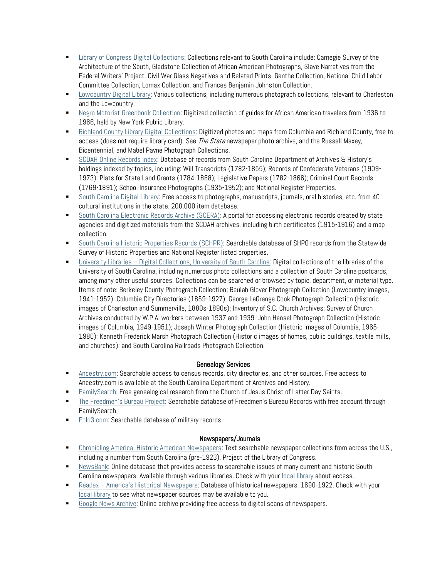- **EXECT LIBRARY OF CONGRESS Digital Collections: Collections relevant to South Carolina include: Carnegie Survey of the** Architecture of the South, Gladstone Collection of African American Photographs, Slave Narratives from the Federal Writers' Project, Civil War Glass Negatives and Related Prints, Genthe Collection, National Child Labor Committee Collection, Lomax Collection, and Frances Benjamin Johnston Collection.
- **[Lowcountry Digital Library:](https://lcdl.library.cofc.edu/) Various collections, including numerous photograph collections, relevant to Charleston** and the Lowcountry.
- **[Negro Motorist Greenbook Collection:](https://digitalcollections.nypl.org/collections/the-green-book#/?tab=about) Digitized collection of guides for African American travelers from 1936 to** 1966, held by New York Public Library.
- **Fall Act County Library Digital Collections: Digitized photos and maps from Columbia and Richland County, free to** access (does not require library card). See *The State* newspaper photo archive, and the Russell Maxey, Bicentennial, and Mabel Payne Photograph Collections.
- [SCDAH Online Records Index:](http://www.archivesindex.sc.gov/) Database of records from South Carolina Department of Archives & History's holdings indexed by topics, including: Will Transcripts (1782-1855); Records of Confederate Veterans (1909- 1973); Plats for State Land Grants (1784-1868); Legislative Papers (1782-1866); Criminal Court Records (1769-1891); School Insurance Photographs (1935-1952); and National Register Properties.
- [South Carolina Digital Library:](http://scmemory.org/) Free access to photographs, manuscripts, journals, oral histories, etc. from 40 cultural institutions in the state. 200,000 item database.
- **[South Carolina Electronic Records Archive \(SCERA\):](http://e-archives.sc.gov/) A portal for accessing electronic records created by state** agencies and digitized materials from the SCDAH archives, including birth certificates (1915-1916) and a map collection.
- [South Carolina Historic Properties Records](http://schpr.sc.gov/) (SCHPR): Searchable database of SHPO records from the Statewide Survey of Historic Properties and National Register listed properties.
- University Libraries [Digital Collections, University of South Carolina:](http://library.sc.edu/p/Collections/Digital/Browse) Digital collections of the libraries of the University of South Carolina, including numerous photo collections and a collection of South Carolina postcards, among many other useful sources. Collections can be searched or browsed by topic, department, or material type. Items of note: Berkeley County Photograph Collection; Beulah Glover Photograph Collection (Lowcountry images, 1941-1952); Columbia City Directories (1859-1927); George LaGrange Cook Photograph Collection (Historic images of Charleston and Summerville, 1880s-1890s); Inventory of S.C. Church Archives: Survey of Church Archives conducted by W.P.A. workers between 1937 and 1939; John Hensel Photograph Collection (Historic images of Columbia, 1949-1951); Joseph Winter Photograph Collection (Historic images of Columbia, 1965- 1980); Kenneth Frederick Marsh Photograph Collection (Historic images of homes, public buildings, textile mills, and churches); and South Carolina Railroads Photograph Collection.

# Genealogy Services

- [Ancestry.com:](https://www.ancestry.com/) Searchable access to census records, city directories, and other sources. Free access to Ancestry.com is available at the South Carolina Department of Archives and History.
- **[FamilySearch:](https://www.familysearch.org/archives/) Free genealogical research from the Church of Jesus Christ of Latter Day Saints.**
- [The Freedmen's Bureau Project:](http://www.discoverfreedmen.org/) Searchable database of Freedmen's Bureau Records with free account through FamilySearch.
- [Fold3.com:](https://www.fold3.com/) Searchable database of military records.

# Newspapers/Journals

- [Chronicling America, Historic American Newspapers:](http://chroniclingamerica.loc.gov/) Text searchable newspaper collections from across the U.S., including a number from South Carolina (pre-1923). Project of the Library of Congress.
- [NewsBank:](https://www.newsbank.com/log-through-your-library) Online database that provides access to searchable issues of many current and historic South Carolina newspapers. Available through various libraries. Check with your [local library](https://www.sciway.net/lib/counties.html) about access.
- Readex [America's Historical Newspapers](https://www.readex.com/content/americas-historical-newspapers): Database of historical newspapers, 1690-1922. Check with your [local library](https://www.sciway.net/lib/counties.html) to see what newspaper sources may be available to you.
- [Google News](https://news.google.com/newspapers) Archive: Online archive providing free access to digital scans of newspapers.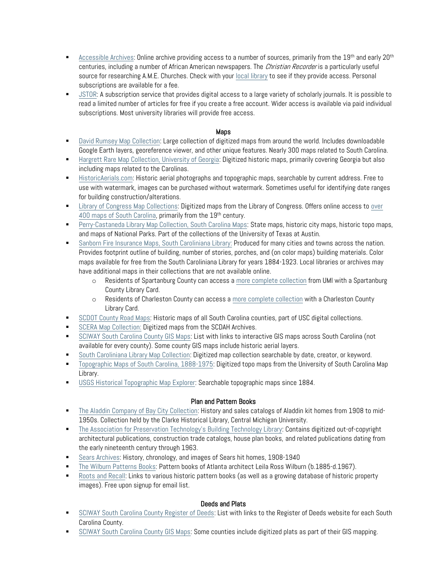- [Accessible Archives:](http://www.accessible-archives.com/) Online archive providing access to a number of sources, primarily from the  $19<sup>th</sup>$  and early  $20<sup>th</sup>$ centuries, including a number of African American newspapers. The *Christian Recorder* is a particularly useful source for researching A.M.E. Churches. Check with your local [library](https://www.sciway.net/lib/counties.html) to see if they provide access. Personal subscriptions are available for a fee.
- [JSTOR:](https://www.jstor.org/) A subscription service that provides digital access to a large variety of scholarly journals. It is possible to read a limited number of articles for free if you create a free account. Wider access is available via paid individual subscriptions. Most university libraries will provide free access.

# Maps

- [David Rumsey Map Collection:](https://www.davidrumsey.com/home) Large collection of digitized maps from around the world. Includes downloadable Google Earth layers, georeference viewer, and other unique features. Nearly 300 maps related to South Carolina.
- **[Hargrett Rare Map Collection, University of Georgia:](http://www.libs.uga.edu/darchive/hargrett/maps/neworld.html) Digitized historic maps, primarily covering Georgia but also** including maps related to the Carolinas.
- **[HistoricAerials.com:](https://www.historicaerials.com/) Historic aerial photographs and topographic maps, searchable by current address. Free to** use with watermark, images can be purchased without watermark. Sometimes useful for identifying date ranges for building construction/alterations.
- [Library of Congress Map Collections:](https://www.loc.gov/maps/collections/?st=gallery) Digitized maps from the Library of Congress. Offers online access to [over](https://www.loc.gov/maps/?q=south+carolina)  [400 maps of South Carolina,](https://www.loc.gov/maps/?q=south+carolina) primarily from the 19<sup>th</sup> century.
- [Perry-Castaneda Library Map Collection, South Carolina Maps:](https://legacy.lib.utexas.edu/maps/south_carolina.html) State maps, historic city maps, historic topo maps, and maps of National Parks. Part of the collections of the University of Texas at Austin.
- **[Sanborn Fire Insurance Maps, South Caroliniana Library:](https://delphi.tcl.sc.edu/library/digital/collections/sanborn.html) Produced for many cities and towns across the nation.** Provides footprint outline of building, number of stories, porches, and (on color maps) building materials. Color maps available for free from the South Caroliniana Library for years 1884-1923. Local libraries or archives may have additional maps in their collections that are not available online.
	- o Residents of Spartanburg County can access [a more complete collection](http://spartanburglibraries.org/Learning-Tools/SanbornMaps) from UMI with a Spartanburg County Library Card.
	- o Residents of Charleston County can access [a more complete collection](https://www.ccpl.org/digital-sanborn-maps) with a Charleston County Library Card.
- [SCDOT County Road Maps:](https://delphi.tcl.sc.edu/library/digital/collections/scrm.html) Historic maps of all South Carolina counties, part of USC digital collections.
- [SCERA Map Collection:](http://e-archives.sc.gov/archive/sdb%3Acollection%7C59b0d546-971b-4ad4-84f3-b41fb7db9866/) Digitized maps from the SCDAH Archives.
- **[SCIWAY South Carolina County GIS Maps:](https://www.sciway.net/maps/sc-gis-county-maps.html) List with links to interactive GIS maps across South Carolina (not** available for every county). Some county GIS maps include historic aerial layers.
- [South Caroliniana Library Map Collection:](https://digital.library.sc.edu/collections/south-caroliniana-library-map-collection/) Digitized map collection searchable by date, creator, or keyword.
- [Topographic Maps of South Carolina, 1888-1975:](https://digital.library.sc.edu/collections/topographical-maps-of-south-carolina-1888-1975/) Digitized topo maps from the University of South Carolina Map Library.
- **[USGS Historical Topographic Map Explorer:](http://historicalmaps.arcgis.com/usgs/) Searchable topographic maps since 1884.**

# Plan and Pattern Books

- [The Aladdin Company of Bay City Collection:](https://www.cmich.edu/library/clarke/ResearchResources/Michigan_Material_Local/Bay_City_Aladdin_Co/Pages/default.aspx) History and sales catalogs of Aladdin kit homes from 1908 to mid-1950s. Collection held by the Clarke Historical Library, Central Michigan University.
- [The Association for Preservation Technology's Building Technology Library:](https://archive.org/details/buildingtechnologyheritagelibrary) Contains digitized out-of-copyright architectural publications, construction trade catalogs, house plan books, and related publications dating from the early nineteenth century through 1963.
- [Sears Archives:](http://www.searsarchives.com/homes/index.htm) History, chronology, and images of Sears hit homes, 1908-1940
- [The Wilburn Patterns Books:](http://www.mak-decatur.org/lrwbooks.shtml) Pattern books of Atlanta architect Leila Ross Wilburn (b.1885-d.1967).
- [Roots and Recall:](https://www.rootsandrecall.com/blog/buildings/pattern-book-links/) Links to various historic pattern books (as well as a growing database of historic property images). Free upon signup for email list.

# Deeds and Plats

- **[SCIWAY South Carolina County Register of Deeds:](https://www.sciway.net/gov/sc-county-register-deeds.html) List with links to the Register of Deeds website for each South** Carolina County.
- [SCIWAY South Carolina County GIS Maps:](https://www.sciway.net/maps/sc-gis-county-maps.html) Some counties include digitized plats as part of their GIS mapping.